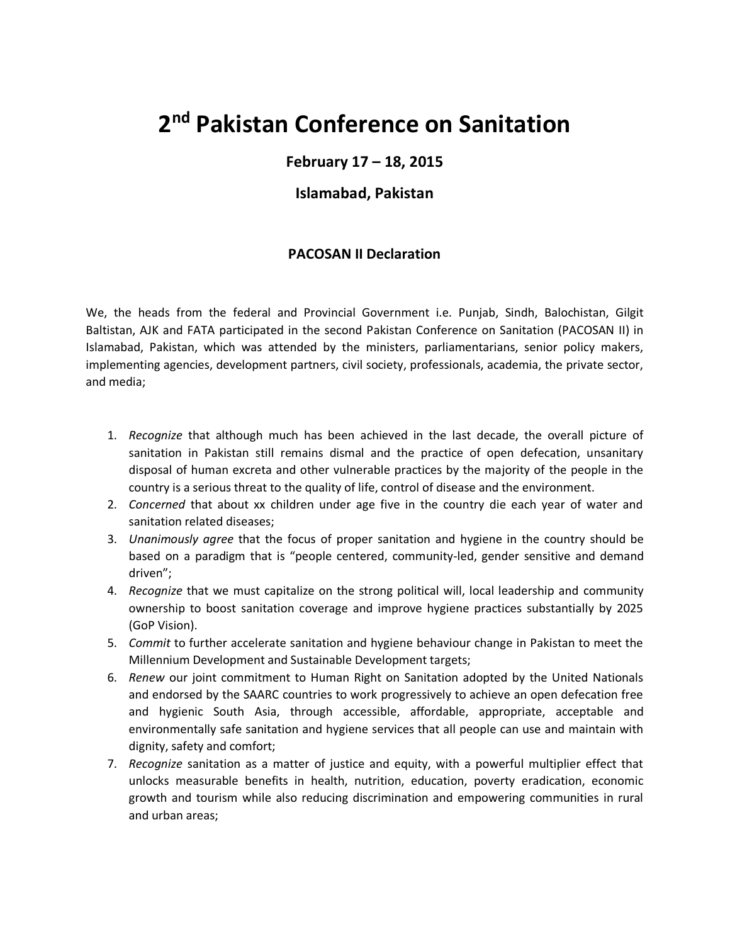## **2 nd Pakistan Conference on Sanitation**

## **February 17 – 18, 2015**

## **Islamabad, Pakistan**

## **PACOSAN II Declaration**

We, the heads from the federal and Provincial Government i.e. Punjab, Sindh, Balochistan, Gilgit Baltistan, AJK and FATA participated in the second Pakistan Conference on Sanitation (PACOSAN II) in Islamabad, Pakistan, which was attended by the ministers, parliamentarians, senior policy makers, implementing agencies, development partners, civil society, professionals, academia, the private sector, and media;

- 1. *Recognize* that although much has been achieved in the last decade, the overall picture of sanitation in Pakistan still remains dismal and the practice of open defecation, unsanitary disposal of human excreta and other vulnerable practices by the majority of the people in the country is a serious threat to the quality of life, control of disease and the environment.
- 2. *Concerned* that about xx children under age five in the country die each year of water and sanitation related diseases;
- 3. *Unanimously agree* that the focus of proper sanitation and hygiene in the country should be based on a paradigm that is "people centered, community-led, gender sensitive and demand driven";
- 4. *Recognize* that we must capitalize on the strong political will, local leadership and community ownership to boost sanitation coverage and improve hygiene practices substantially by 2025 (GoP Vision).
- 5. *Commit* to further accelerate sanitation and hygiene behaviour change in Pakistan to meet the Millennium Development and Sustainable Development targets;
- 6. *Renew* our joint commitment to Human Right on Sanitation adopted by the United Nationals and endorsed by the SAARC countries to work progressively to achieve an open defecation free and hygienic South Asia, through accessible, affordable, appropriate, acceptable and environmentally safe sanitation and hygiene services that all people can use and maintain with dignity, safety and comfort;
- 7. *Recognize* sanitation as a matter of justice and equity, with a powerful multiplier effect that unlocks measurable benefits in health, nutrition, education, poverty eradication, economic growth and tourism while also reducing discrimination and empowering communities in rural and urban areas;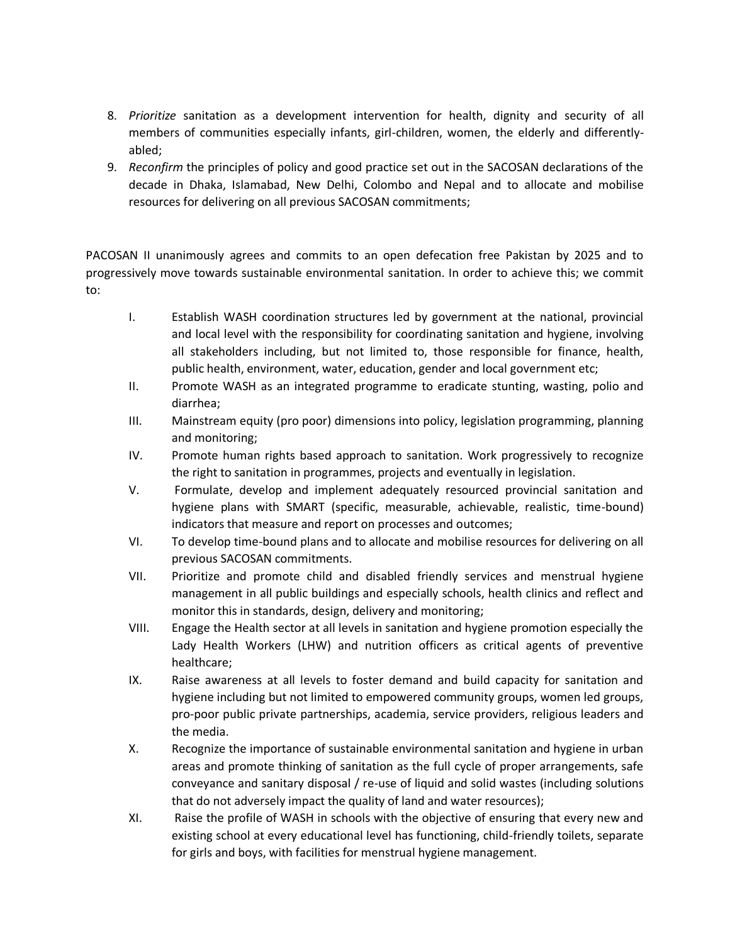- 8. *Prioritize* sanitation as a development intervention for health, dignity and security of all members of communities especially infants, girl-children, women, the elderly and differentlyabled;
- 9. *Reconfirm* the principles of policy and good practice set out in the SACOSAN declarations of the decade in Dhaka, Islamabad, New Delhi, Colombo and Nepal and to allocate and mobilise resources for delivering on all previous SACOSAN commitments;

PACOSAN II unanimously agrees and commits to an open defecation free Pakistan by 2025 and to progressively move towards sustainable environmental sanitation. In order to achieve this; we commit to:

- I. Establish WASH coordination structures led by government at the national, provincial and local level with the responsibility for coordinating sanitation and hygiene, involving all stakeholders including, but not limited to, those responsible for finance, health, public health, environment, water, education, gender and local government etc;
- II. Promote WASH as an integrated programme to eradicate stunting, wasting, polio and diarrhea;
- III. Mainstream equity (pro poor) dimensions into policy, legislation programming, planning and monitoring;
- IV. Promote human rights based approach to sanitation. Work progressively to recognize the right to sanitation in programmes, projects and eventually in legislation.
- V. Formulate, develop and implement adequately resourced provincial sanitation and hygiene plans with SMART (specific, measurable, achievable, realistic, time-bound) indicators that measure and report on processes and outcomes;
- VI. To develop time-bound plans and to allocate and mobilise resources for delivering on all previous SACOSAN commitments.
- VII. Prioritize and promote child and disabled friendly services and menstrual hygiene management in all public buildings and especially schools, health clinics and reflect and monitor this in standards, design, delivery and monitoring;
- VIII. Engage the Health sector at all levels in sanitation and hygiene promotion especially the Lady Health Workers (LHW) and nutrition officers as critical agents of preventive healthcare;
- IX. Raise awareness at all levels to foster demand and build capacity for sanitation and hygiene including but not limited to empowered community groups, women led groups, pro-poor public private partnerships, academia, service providers, religious leaders and the media.
- X. Recognize the importance of sustainable environmental sanitation and hygiene in urban areas and promote thinking of sanitation as the full cycle of proper arrangements, safe conveyance and sanitary disposal / re-use of liquid and solid wastes (including solutions that do not adversely impact the quality of land and water resources);
- XI. Raise the profile of WASH in schools with the objective of ensuring that every new and existing school at every educational level has functioning, child-friendly toilets, separate for girls and boys, with facilities for menstrual hygiene management.